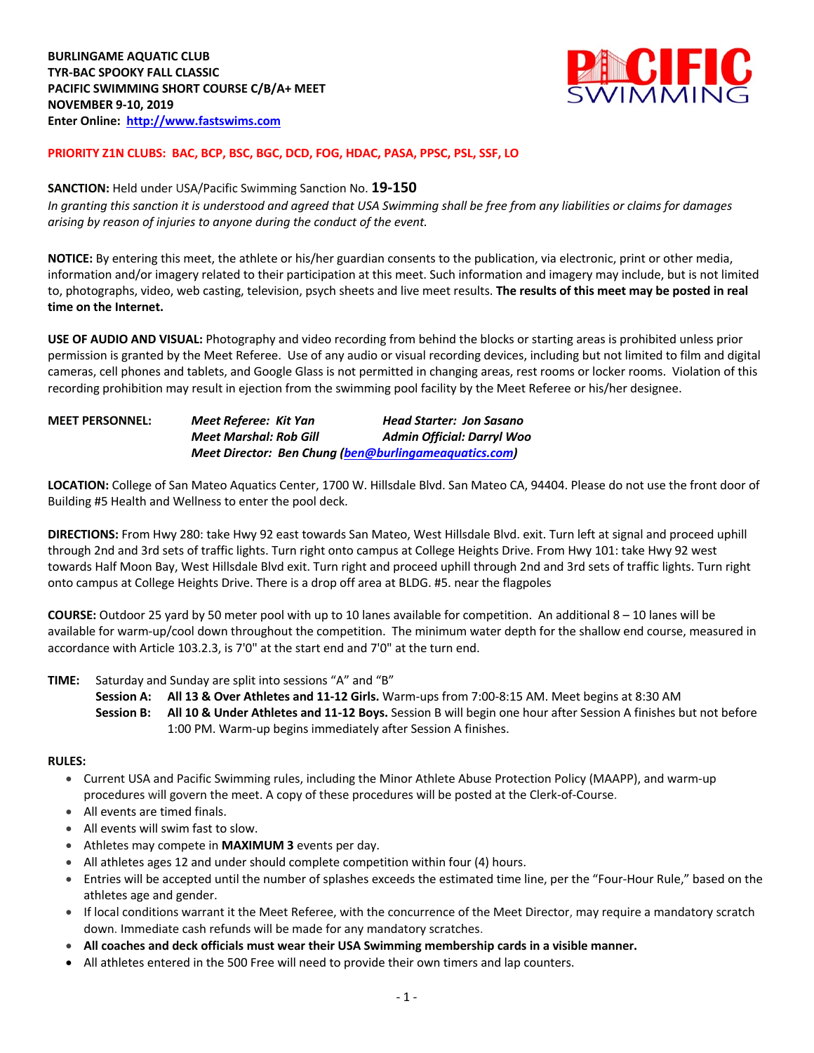

### **PRIORITY Z1N CLUBS: BAC, BCP, BSC, BGC, DCD, FOG, HDAC, PASA, PPSC, PSL, SSF, LO**

### **SANCTION:** Held under USA/Pacific Swimming Sanction No. **19-150**

*In granting this sanction it is understood and agreed that USA Swimming shall be free from any liabilities or claims for damages arising by reason of injuries to anyone during the conduct of the event.* 

**NOTICE:** By entering this meet, the athlete or his/her guardian consents to the publication, via electronic, print or other media, information and/or imagery related to their participation at this meet. Such information and imagery may include, but is not limited to, photographs, video, web casting, television, psych sheets and live meet results. **The results of this meet may be posted in real time on the Internet.**

**USE OF AUDIO AND VISUAL:** Photography and video recording from behind the blocks or starting areas is prohibited unless prior permission is granted by the Meet Referee. Use of any audio or visual recording devices, including but not limited to film and digital cameras, cell phones and tablets, and Google Glass is not permitted in changing areas, rest rooms or locker rooms. Violation of this recording prohibition may result in ejection from the swimming pool facility by the Meet Referee or his/her designee.

| <b>MEET PERSONNEL:</b> | Meet Referee: Kit Yan  | <b>Head Starter: Jon Sasano</b>                       |
|------------------------|------------------------|-------------------------------------------------------|
|                        | Meet Marshal: Rob Gill | <b>Admin Official: Darryl Woo</b>                     |
|                        |                        | Meet Director: Ben Chung (ben@burlingameaguatics.com) |

**LOCATION:** College of San Mateo Aquatics Center, 1700 W. Hillsdale Blvd. San Mateo CA, 94404. Please do not use the front door of Building #5 Health and Wellness to enter the pool deck.

**DIRECTIONS:** From Hwy 280: take Hwy 92 east towards San Mateo, West Hillsdale Blvd. exit. Turn left at signal and proceed uphill through 2nd and 3rd sets of traffic lights. Turn right onto campus at College Heights Drive. From Hwy 101: take Hwy 92 west towards Half Moon Bay, West Hillsdale Blvd exit. Turn right and proceed uphill through 2nd and 3rd sets of traffic lights. Turn right onto campus at College Heights Drive. There is a drop off area at BLDG. #5. near the flagpoles

**COURSE:** Outdoor 25 yard by 50 meter pool with up to 10 lanes available for competition. An additional 8 – 10 lanes will be available for warm-up/cool down throughout the competition. The minimum water depth for the shallow end course, measured in accordance with Article 103.2.3, is 7'0" at the start end and 7'0" at the turn end.

**TIME:** Saturday and Sunday are split into sessions "A" and "B"

**Session A: All 13 & Over Athletes and 11-12 Girls.** Warm-ups from 7:00-8:15 AM. Meet begins at 8:30 AM **Session B: All 10 & Under Athletes and 11-12 Boys.** Session B will begin one hour after Session A finishes but not before 1:00 PM. Warm-up begins immediately after Session A finishes.

#### **RULES:**

- Current USA and Pacific Swimming rules, including the Minor Athlete Abuse Protection Policy (MAAPP), and warm-up procedures will govern the meet. A copy of these procedures will be posted at the Clerk-of-Course.
- All events are timed finals.
- All events will swim fast to slow.
- Athletes may compete in **MAXIMUM 3** events per day.
- All athletes ages 12 and under should complete competition within four (4) hours.
- Entries will be accepted until the number of splashes exceeds the estimated time line, per the "Four-Hour Rule," based on the athletes age and gender.
- If local conditions warrant it the Meet Referee, with the concurrence of the Meet Director, may require a mandatory scratch down. Immediate cash refunds will be made for any mandatory scratches.
- **All coaches and deck officials must wear their USA Swimming membership cards in a visible manner.**
- All athletes entered in the 500 Free will need to provide their own timers and lap counters.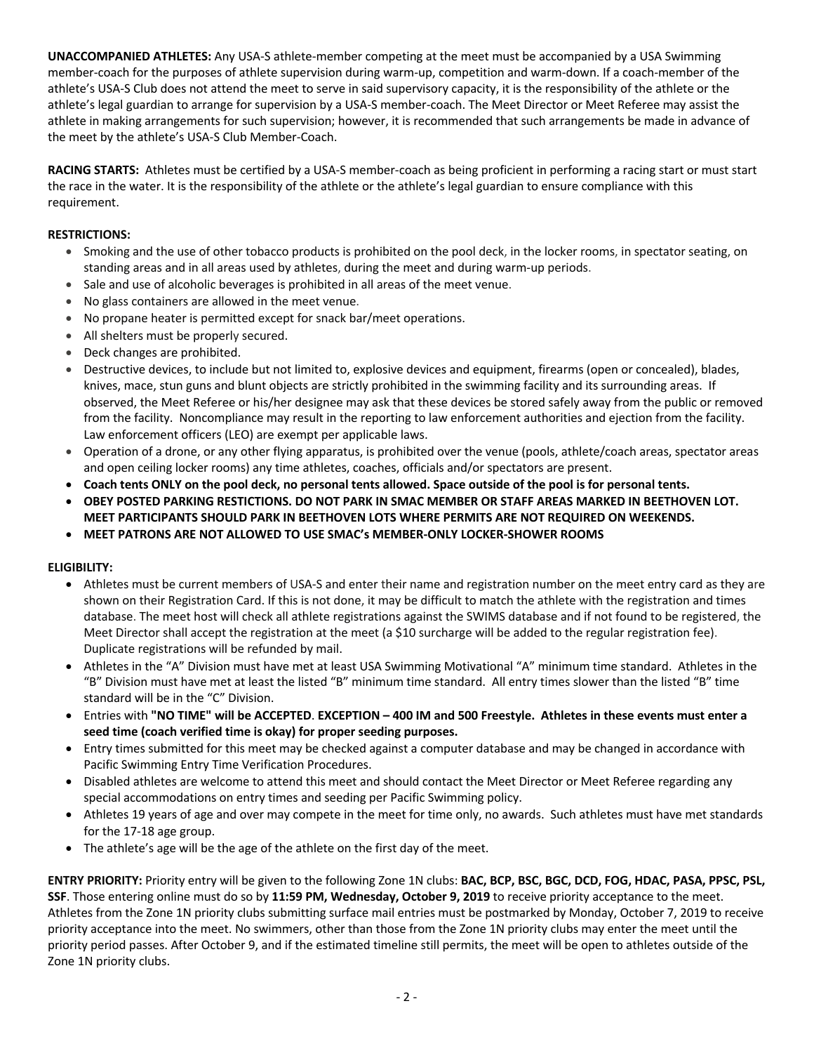**UNACCOMPANIED ATHLETES:** Any USA-S athlete-member competing at the meet must be accompanied by a USA Swimming member-coach for the purposes of athlete supervision during warm-up, competition and warm-down. If a coach-member of the athlete's USA-S Club does not attend the meet to serve in said supervisory capacity, it is the responsibility of the athlete or the athlete's legal guardian to arrange for supervision by a USA-S member-coach. The Meet Director or Meet Referee may assist the athlete in making arrangements for such supervision; however, it is recommended that such arrangements be made in advance of the meet by the athlete's USA-S Club Member-Coach.

**RACING STARTS:** Athletes must be certified by a USA-S member-coach as being proficient in performing a racing start or must start the race in the water. It is the responsibility of the athlete or the athlete's legal guardian to ensure compliance with this requirement.

## **RESTRICTIONS:**

- Smoking and the use of other tobacco products is prohibited on the pool deck, in the locker rooms, in spectator seating, on standing areas and in all areas used by athletes, during the meet and during warm-up periods.
- Sale and use of alcoholic beverages is prohibited in all areas of the meet venue.
- No glass containers are allowed in the meet venue.
- No propane heater is permitted except for snack bar/meet operations.
- All shelters must be properly secured.
- Deck changes are prohibited.
- Destructive devices, to include but not limited to, explosive devices and equipment, firearms (open or concealed), blades, knives, mace, stun guns and blunt objects are strictly prohibited in the swimming facility and its surrounding areas. If observed, the Meet Referee or his/her designee may ask that these devices be stored safely away from the public or removed from the facility. Noncompliance may result in the reporting to law enforcement authorities and ejection from the facility. Law enforcement officers (LEO) are exempt per applicable laws.
- Operation of a drone, or any other flying apparatus, is prohibited over the venue (pools, athlete/coach areas, spectator areas and open ceiling locker rooms) any time athletes, coaches, officials and/or spectators are present.
- **Coach tents ONLY on the pool deck, no personal tents allowed. Space outside of the pool is for personal tents.**
- **OBEY POSTED PARKING RESTICTIONS. DO NOT PARK IN SMAC MEMBER OR STAFF AREAS MARKED IN BEETHOVEN LOT. MEET PARTICIPANTS SHOULD PARK IN BEETHOVEN LOTS WHERE PERMITS ARE NOT REQUIRED ON WEEKENDS.**
- **MEET PATRONS ARE NOT ALLOWED TO USE SMAC's MEMBER-ONLY LOCKER-SHOWER ROOMS**

#### **ELIGIBILITY:**

- Athletes must be current members of USA-S and enter their name and registration number on the meet entry card as they are shown on their Registration Card. If this is not done, it may be difficult to match the athlete with the registration and times database. The meet host will check all athlete registrations against the SWIMS database and if not found to be registered, the Meet Director shall accept the registration at the meet (a \$10 surcharge will be added to the regular registration fee). Duplicate registrations will be refunded by mail.
- Athletes in the "A" Division must have met at least USA Swimming Motivational "A" minimum time standard. Athletes in the "B" Division must have met at least the listed "B" minimum time standard. All entry times slower than the listed "B" time standard will be in the "C" Division.
- Entries with **"NO TIME" will be ACCEPTED**. **EXCEPTION – 400 IM and 500 Freestyle. Athletes in these events must enter a seed time (coach verified time is okay) for proper seeding purposes.**
- Entry times submitted for this meet may be checked against a computer database and may be changed in accordance with Pacific Swimming Entry Time Verification Procedures.
- Disabled athletes are welcome to attend this meet and should contact the Meet Director or Meet Referee regarding any special accommodations on entry times and seeding per Pacific Swimming policy.
- Athletes 19 years of age and over may compete in the meet for time only, no awards. Such athletes must have met standards for the 17-18 age group.
- The athlete's age will be the age of the athlete on the first day of the meet.

**ENTRY PRIORITY:** Priority entry will be given to the following Zone 1N clubs: **BAC, BCP, BSC, BGC, DCD, FOG, HDAC, PASA, PPSC, PSL, SSF**. Those entering online must do so by **11:59 PM, Wednesday, October 9, 2019** to receive priority acceptance to the meet. Athletes from the Zone 1N priority clubs submitting surface mail entries must be postmarked by Monday, October 7, 2019 to receive priority acceptance into the meet. No swimmers, other than those from the Zone 1N priority clubs may enter the meet until the priority period passes. After October 9, and if the estimated timeline still permits, the meet will be open to athletes outside of the Zone 1N priority clubs.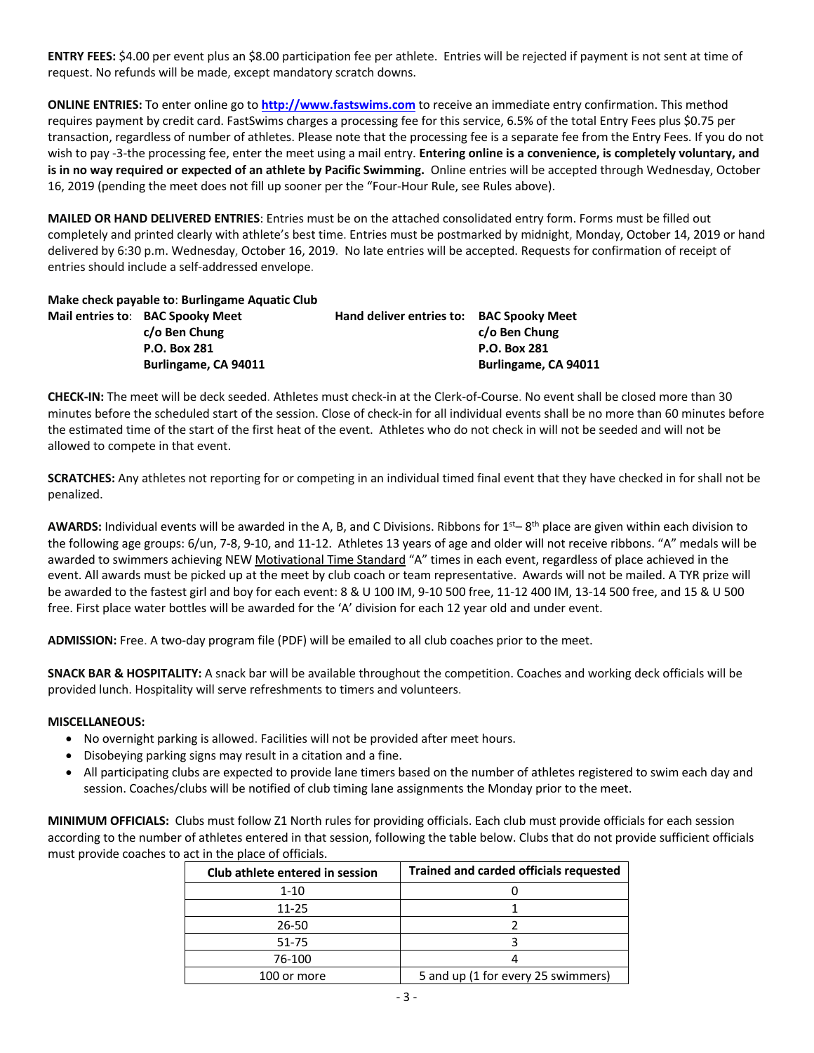**ENTRY FEES:** \$4.00 per event plus an \$8.00 participation fee per athlete. Entries will be rejected if payment is not sent at time of request. No refunds will be made, except mandatory scratch downs.

**ONLINE ENTRIES:** To enter online go to **http://www.fastswims.com** to receive an immediate entry confirmation. This method requires payment by credit card. FastSwims charges a processing fee for this service, 6.5% of the total Entry Fees plus \$0.75 per transaction, regardless of number of athletes. Please note that the processing fee is a separate fee from the Entry Fees. If you do not wish to pay -3-the processing fee, enter the meet using a mail entry. **Entering online is a convenience, is completely voluntary, and is in no way required or expected of an athlete by Pacific Swimming.** Online entries will be accepted through Wednesday, October 16, 2019 (pending the meet does not fill up sooner per the "Four-Hour Rule, see Rules above).

**MAILED OR HAND DELIVERED ENTRIES**: Entries must be on the attached consolidated entry form. Forms must be filled out completely and printed clearly with athlete's best time. Entries must be postmarked by midnight, Monday, October 14, 2019 or hand delivered by 6:30 p.m. Wednesday, October 16, 2019. No late entries will be accepted. Requests for confirmation of receipt of entries should include a self-addressed envelope.

**Make check payable to**: **Burlingame Aquatic Club Mail entries to**: **BAC Spooky Meet Hand deliver entries to: BAC Spooky Meet c/o Ben Chung c/o Ben Chung**

**P.O. Box 281 P.O. Box 281 Burlingame, CA 94011 Burlingame, CA 94011**

**CHECK-IN:** The meet will be deck seeded. Athletes must check-in at the Clerk-of-Course. No event shall be closed more than 30 minutes before the scheduled start of the session. Close of check-in for all individual events shall be no more than 60 minutes before the estimated time of the start of the first heat of the event. Athletes who do not check in will not be seeded and will not be allowed to compete in that event.

**SCRATCHES:** Any athletes not reporting for or competing in an individual timed final event that they have checked in for shall not be penalized.

**AWARDS:** Individual events will be awarded in the A, B, and C Divisions. Ribbons for 1st– 8th place are given within each division to the following age groups: 6/un, 7-8, 9-10, and 11-12. Athletes 13 years of age and older will not receive ribbons. "A" medals will be awarded to swimmers achieving NEW Motivational Time Standard "A" times in each event, regardless of place achieved in the event. All awards must be picked up at the meet by club coach or team representative. Awards will not be mailed. A TYR prize will be awarded to the fastest girl and boy for each event: 8 & U 100 IM, 9-10 500 free, 11-12 400 IM, 13-14 500 free, and 15 & U 500 free. First place water bottles will be awarded for the 'A' division for each 12 year old and under event.

**ADMISSION:** Free. A two-day program file (PDF) will be emailed to all club coaches prior to the meet.

**SNACK BAR & HOSPITALITY:** A snack bar will be available throughout the competition. Coaches and working deck officials will be provided lunch. Hospitality will serve refreshments to timers and volunteers.

#### **MISCELLANEOUS:**

- No overnight parking is allowed. Facilities will not be provided after meet hours.
- Disobeying parking signs may result in a citation and a fine.
- All participating clubs are expected to provide lane timers based on the number of athletes registered to swim each day and session. Coaches/clubs will be notified of club timing lane assignments the Monday prior to the meet.

**MINIMUM OFFICIALS:** Clubs must follow Z1 North rules for providing officials. Each club must provide officials for each session according to the number of athletes entered in that session, following the table below. Clubs that do not provide sufficient officials must provide coaches to act in the place of officials.

| Club athlete entered in session | <b>Trained and carded officials requested</b> |  |  |  |  |  |
|---------------------------------|-----------------------------------------------|--|--|--|--|--|
| $1 - 10$                        |                                               |  |  |  |  |  |
| $11 - 25$                       |                                               |  |  |  |  |  |
| 26-50                           |                                               |  |  |  |  |  |
| 51-75                           |                                               |  |  |  |  |  |
| 76-100                          |                                               |  |  |  |  |  |
| 100 or more                     | 5 and up (1 for every 25 swimmers)            |  |  |  |  |  |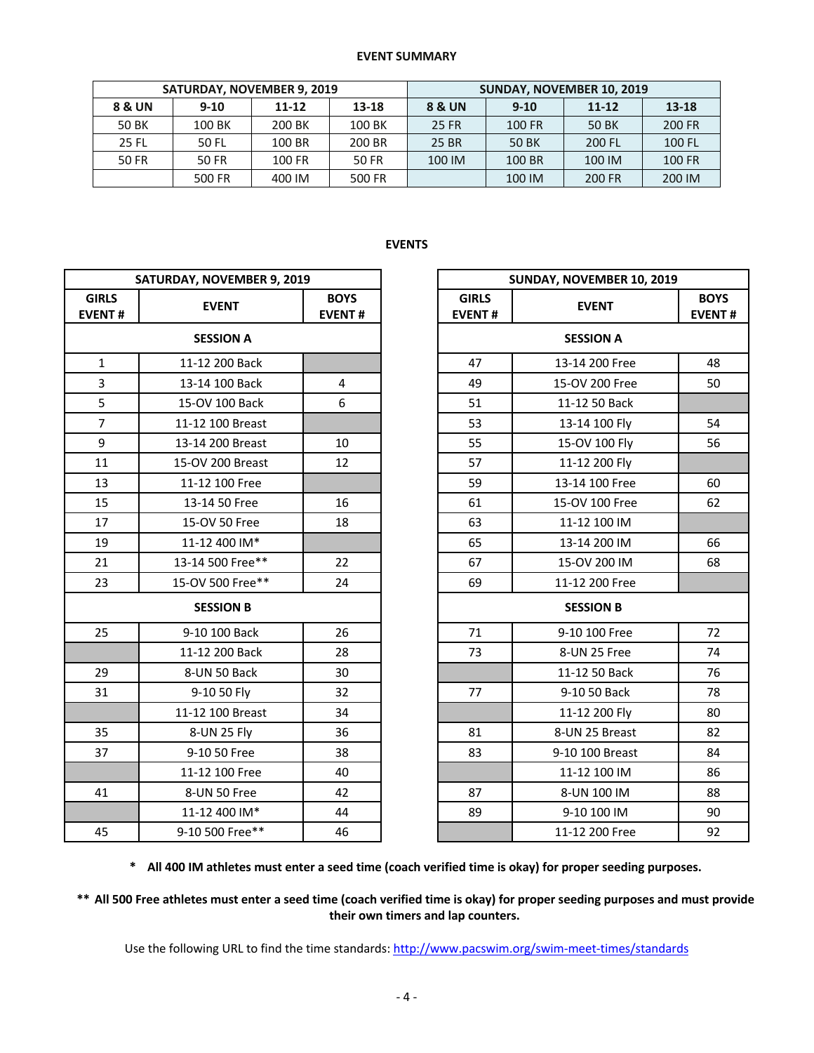#### **EVENT SUMMARY**

|              | <b>SATURDAY, NOVEMBER 9, 2019</b> |           |        | <b>SUNDAY, NOVEMBER 10, 2019</b> |        |           |        |  |  |
|--------------|-----------------------------------|-----------|--------|----------------------------------|--------|-----------|--------|--|--|
| 8 & UN       | $9 - 10$                          | $11 - 12$ | 13-18  | <b>8 &amp; UN</b>                | $9-10$ | $11 - 12$ | 13-18  |  |  |
| 50 BK        | 100 BK                            | 200 BK    | 100 BK | 25 FR                            | 100 FR | 50 BK     | 200 FR |  |  |
| <b>25 FL</b> | 50 FL                             | 100 BR    | 200 BR | 25 BR                            | 50 BK  | 200 FL    | 100 FL |  |  |
| 50 FR        | 50 FR                             | 100 FR    | 50 FR  | 100 IM                           | 100 BR | 100 IM    | 100 FR |  |  |
|              | 500 FR                            | 400 IM    | 500 FR |                                  | 100 IM | 200 FR    | 200 IM |  |  |

# **EVENTS**

|                               | SATURDAY, NOVEMBER 9, 2019 | SUNDAY, NOVEMBER 10, 2019    |                               |                  |                           |
|-------------------------------|----------------------------|------------------------------|-------------------------------|------------------|---------------------------|
| <b>GIRLS</b><br><b>EVENT#</b> | <b>EVENT</b>               | <b>BOYS</b><br><b>EVENT#</b> | <b>GIRLS</b><br><b>EVENT#</b> | <b>EVENT</b>     | <b>BOY</b><br><b>EVEN</b> |
|                               | <b>SESSION A</b>           |                              |                               | <b>SESSION A</b> |                           |
| $\mathbf{1}$                  | 11-12 200 Back             |                              | 47                            | 13-14 200 Free   | 48                        |
| $\overline{3}$                | 13-14 100 Back             | $\overline{4}$               | 49                            | 15-OV 200 Free   | 50                        |
| 5                             | 15-OV 100 Back             | 6                            | 51                            | 11-12 50 Back    |                           |
| $\overline{7}$                | 11-12 100 Breast           |                              | 53                            | 13-14 100 Fly    | 54                        |
| 9                             | 13-14 200 Breast           | 10                           | 55                            | 15-OV 100 Fly    | 56                        |
| 11                            | 15-OV 200 Breast           | 12                           | 57                            | 11-12 200 Fly    |                           |
| 13                            | 11-12 100 Free             |                              | 59                            | 13-14 100 Free   | 60                        |
| 15                            | 13-14 50 Free              | 16                           | 61                            | 15-OV 100 Free   | 62                        |
| 17                            | 15-OV 50 Free              | 18                           | 63                            | 11-12 100 IM     |                           |
| 19                            | 11-12 400 IM*              |                              | 65                            | 13-14 200 IM     | 66                        |
| 21                            | 13-14 500 Free**           | 22                           | 67                            | 15-OV 200 IM     | 68                        |
| 23                            | 15-OV 500 Free**           | 24                           | 69                            | 11-12 200 Free   |                           |
|                               | <b>SESSION B</b>           |                              |                               | <b>SESSION B</b> |                           |
| 25                            | 9-10 100 Back              | 26                           | 71                            | 9-10 100 Free    | 72                        |
|                               | 11-12 200 Back             | 28                           | 73                            | 8-UN 25 Free     | 74                        |
| 29                            | 8-UN 50 Back               | 30                           |                               | 11-12 50 Back    | 76                        |
| 31                            | 9-10 50 Fly                | 32                           | 77                            | 9-10 50 Back     | 78                        |
|                               | 11-12 100 Breast           | 34                           |                               | 11-12 200 Fly    | 80                        |
| 35                            | 8-UN 25 Fly                | 36                           | 81                            | 8-UN 25 Breast   | 82                        |
| 37                            | 9-10 50 Free               | 38                           | 83                            | 9-10 100 Breast  | 84                        |
|                               | 11-12 100 Free             | 40                           |                               | 11-12 100 IM     | 86                        |
| 41                            | 8-UN 50 Free               | 42                           | 87                            | 8-UN 100 IM      | 88                        |
|                               | 11-12 400 IM*              | 44                           | 89                            | 9-10 100 IM      | 90                        |
| 45                            | 9-10 500 Free**            | 46                           |                               | 11-12 200 Free   | 92                        |

| DAY, NOVEMBER 9, 2019 |                              |                               | SUNDAY, NOVEMBER 10, 2019 |    |  |  |  |
|-----------------------|------------------------------|-------------------------------|---------------------------|----|--|--|--|
| <b>EVENT</b>          | <b>BOYS</b><br><b>EVENT#</b> | <b>GIRLS</b><br><b>EVENT#</b> | <b>EVENT</b>              |    |  |  |  |
| <b>SESSION A</b>      |                              |                               | <b>SESSION A</b>          |    |  |  |  |
| 11-12 200 Back        |                              | 47                            | 13-14 200 Free            | 48 |  |  |  |
| 13-14 100 Back        | 4                            | 49                            | 15-OV 200 Free            | 50 |  |  |  |
| 15-OV 100 Back        | 6                            | 51                            | 11-12 50 Back             |    |  |  |  |
| 11-12 100 Breast      |                              | 53                            | 13-14 100 Fly             | 54 |  |  |  |
| 13-14 200 Breast      | 10                           | 55                            | 15-OV 100 Fly             | 56 |  |  |  |
| 15-OV 200 Breast      | 12                           | 57                            | 11-12 200 Fly             |    |  |  |  |
| 11-12 100 Free        |                              | 59                            | 13-14 100 Free            | 60 |  |  |  |
| 13-14 50 Free         | 16                           | 61                            | 15-OV 100 Free            | 62 |  |  |  |
| 15-OV 50 Free         | 18                           | 63                            | 11-12 100 IM              |    |  |  |  |
| 11-12 400 IM*         |                              | 65                            | 13-14 200 IM              | 66 |  |  |  |
| 13-14 500 Free**      | 22                           | 67                            | 15-OV 200 IM              | 68 |  |  |  |
| 15-OV 500 Free**      | 24                           | 69                            | 11-12 200 Free            |    |  |  |  |
| <b>SESSION B</b>      |                              |                               | <b>SESSION B</b>          |    |  |  |  |
| 9-10 100 Back         | 26                           | 71                            | 9-10 100 Free             | 72 |  |  |  |
| 11-12 200 Back        | 28                           | 73                            | 8-UN 25 Free              | 74 |  |  |  |
| 8-UN 50 Back          | 30                           |                               | 11-12 50 Back             | 76 |  |  |  |
| 9-10 50 Fly           | 32                           | 77                            | 9-10 50 Back              | 78 |  |  |  |
| 11-12 100 Breast      | 34                           |                               | 11-12 200 Fly             | 80 |  |  |  |
| 8-UN 25 Fly           | 36                           | 81                            | 8-UN 25 Breast            | 82 |  |  |  |
| 9-10 50 Free          | 38                           | 83                            | 9-10 100 Breast           | 84 |  |  |  |
| 11-12 100 Free        | 40                           |                               | 11-12 100 IM              | 86 |  |  |  |
| 8-UN 50 Free          | 42                           | 87                            | 8-UN 100 IM               | 88 |  |  |  |
| 11-12 400 IM*         | 44                           | 89                            | 9-10 100 IM               | 90 |  |  |  |
| 9-10 500 Free**       | 46                           |                               | 11-12 200 Free            | 92 |  |  |  |

**\* All 400 IM athletes must enter a seed time (coach verified time is okay) for proper seeding purposes.**

**\*\* All 500 Free athletes must enter a seed time (coach verified time is okay) for proper seeding purposes and must provide their own timers and lap counters.**

Use the following URL to find the time standards: http://www.pacswim.org/swim-meet-times/standards